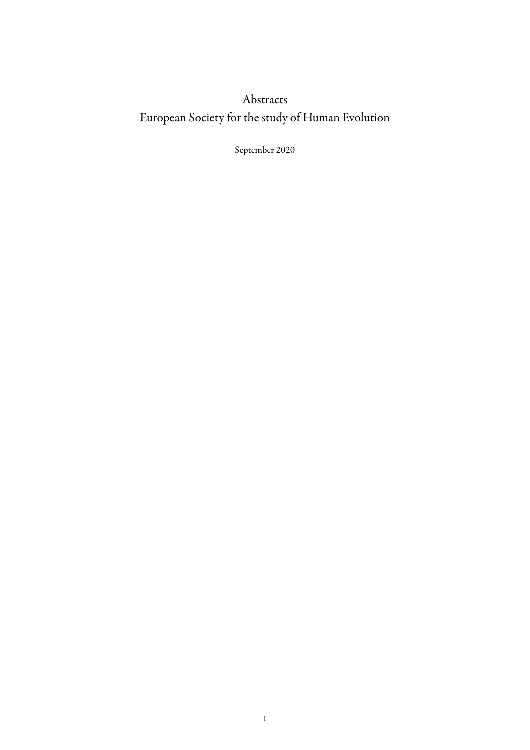## Abstracts European Society for the study of Human Evolution

September 2020